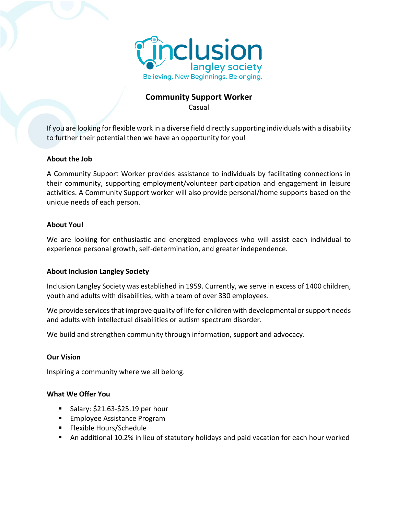

# **Community Support Worker**

Casual

If you are looking for flexible work in a diverse field directly supporting individuals with a disability to further their potential then we have an opportunity for you!

# **About the Job**

A Community Support Worker provides assistance to individuals by facilitating connections in their community, supporting employment/volunteer participation and engagement in leisure activities. A Community Support worker will also provide personal/home supports based on the unique needs of each person.

## **About You!**

We are looking for enthusiastic and energized employees who will assist each individual to experience personal growth, self-determination, and greater independence.

## **About Inclusion Langley Society**

Inclusion Langley Society was established in 1959. Currently, we serve in excess of 1400 children, youth and adults with disabilities, with a team of over 330 employees.

We provide services that improve quality of life for children with developmental or support needs and adults with intellectual disabilities or autism spectrum disorder.

We build and strengthen community through information, support and advocacy.

## **Our Vision**

Inspiring a community where we all belong.

## **What We Offer You**

- $\blacksquare$  Salary: \$21.63-\$25.19 per hour
- Employee Assistance Program
- Flexible Hours/Schedule
- An additional 10.2% in lieu of statutory holidays and paid vacation for each hour worked